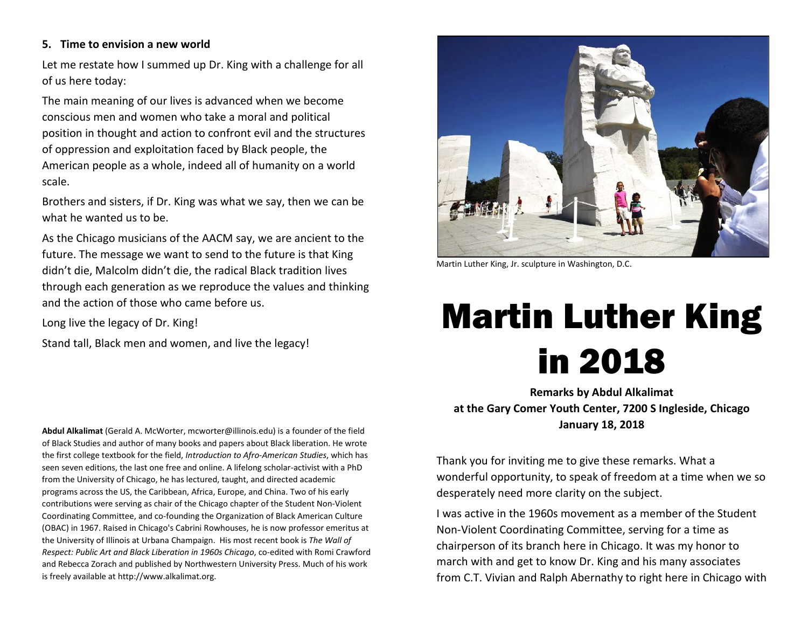#### **5. Time to envision a new world**

Let me restate how I summed up Dr. King with a challenge for all of us here today:

The main meaning of our lives is advanced when we become conscious men and women who take a moral and political position in thought and action to confront evil and the structures of oppression and exploitation faced by Black people, the American people as a whole, indeed all of humanity on a world scale.

Brothers and sisters, if Dr. King was what we say, then we can be what he wanted us to be.

As the Chicago musicians of the AACM say, we are ancient to the future. The message we want to send to the future is that King didn't die, Malcolm didn't die, the radical Black tradition lives through each generation as we reproduce the values and thinking and the action of those who came before us.

Long live the legacy of Dr. King!

Stand tall, Black men and women, and live the legacy!

Martin Luther King, Jr. sculpture in Washington, D.C.

# Martin Luther King in 2018

**Remarks by Abdul Alkalimat at the Gary Comer Youth Center, 7200 S Ingleside, Chicago January 18, 2018**

Thank you for inviting me to give these remarks. What a wonderful opportunity, to speak of freedom at a time when we so desperately need more clarity on the subject.

I was active in the 1960s movement as a member of the Student Non-Violent Coordinating Committee, serving for a time as chairperson of its branch here in Chicago. It was my honor to march with and get to know Dr. King and his many associates from C.T. Vivian and Ralph Abernathy to right here in Chicago with

**Abdul Alkalimat** (Gerald A. McWorter, mcworter@illinois.edu) is a founder of the field of Black Studies and author of many books and papers about Black liberation. He wrote the first college textbook for the field, *Introduction to Afro-American Studies*, which has seen seven editions, the last one free and online. A lifelong scholar-activist with a PhD from the University of Chicago, he has lectured, taught, and directed academic programs across the US, the Caribbean, Africa, Europe, and China. Two of his early contributions were serving as chair of the Chicago chapter of the Student Non-Violent Coordinating Committee, and co-founding the Organization of Black American Culture (OBAC) in 1967. Raised in Chicago's Cabrini Rowhouses, he is now professor emeritus at the University of Illinois at Urbana Champaign. His most recent book is *The Wall of Respect: Public Art and Black Liberation in 1960s Chicago*, co-edited with Romi Crawford and Rebecca Zorach and published by Northwestern University Press. Much of his work is freely available at http://www.alkalimat.org.